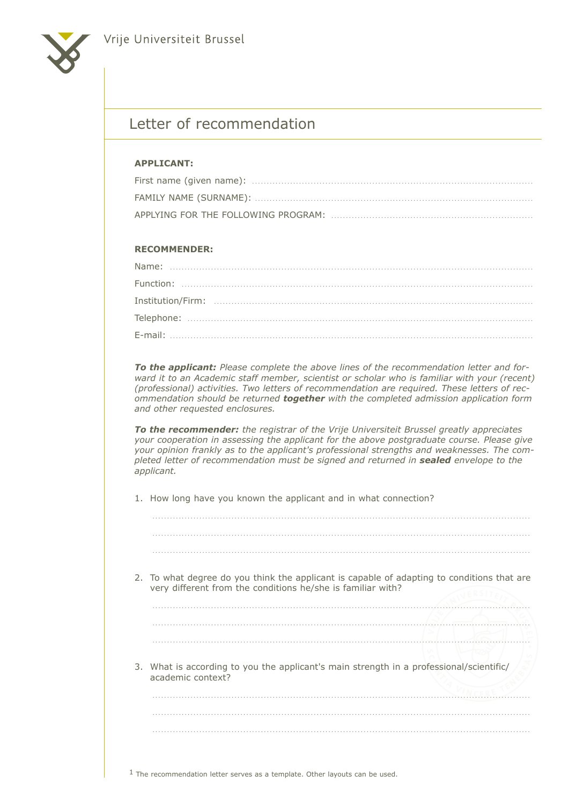

## Letter of recommendation

## **APPLICANT:**

## **Recommender:**

*To the applicant: Please complete the above lines of the recommendation letter and for*ward it to an Academic staff member, scientist or scholar who is familiar with your (recent) *(professional) activities. Two letters of recommendation are required. These letters of recommendation should be returned together with the completed admission application form and other requested enclosures.*

*To the recommender: the registrar of the Vrije Universiteit Brussel greatly appreciates your cooperation in assessing the applicant for the above postgraduate course. Please give your opinion frankly as to the applicant's professional strengths and weaknesses. The completed letter of recommendation must be signed and returned in sealed envelope to the applicant.*

1. How long have you known the applicant and in what connection?

| 2. To what degree do you think the applicant is capable of adapting to conditions that are<br>very different from the conditions he/she is familiar with? |
|-----------------------------------------------------------------------------------------------------------------------------------------------------------|
|                                                                                                                                                           |
|                                                                                                                                                           |
|                                                                                                                                                           |
| 3. What is according to you the applicant's main strength in a professional/scientific/<br>academic context?                                              |
|                                                                                                                                                           |
|                                                                                                                                                           |
|                                                                                                                                                           |
|                                                                                                                                                           |

1 The recommendation letter serves as a template. Other layouts can be used.